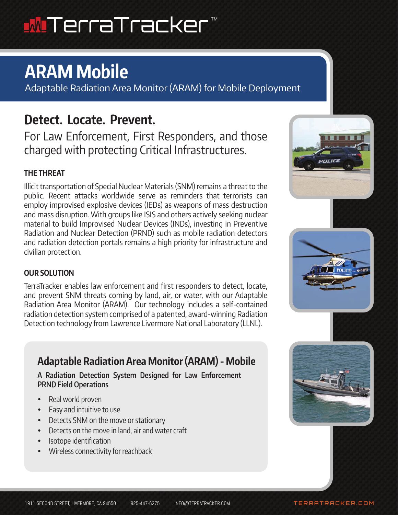# <u>W</u>ITerraTracker

# **ARAM Mobile**

Adaptable Radiation Area Monitor (ARAM) for Mobile Deployment

## **Detect. Locate. Prevent.**

For Law Enforcement, First Responders, and those charged with protecting Critical Infrastructures.

## **THE THREAT**

Illicit transportation of Special Nuclear Materials (SNM) remains a threat to the public. Recent attacks worldwide serve as reminders that terrorists can employ improvised explosive devices (IEDs) as weapons of mass destruction and mass disruption. With groups like ISIS and others actively seeking nuclear material to build Improvised Nuclear Devices (INDs), investing in Preventive Radiation and Nuclear Detection (PRND) such as mobile radiation detectors and radiation detection portals remains a high priority for infrastructure and civilian protection.

### **OUR SOLUTION**

TerraTracker enables law enforcement and first responders to detect, locate, and prevent SNM threats coming by land, air, or water, with our Adaptable Radiation Area Monitor (ARAM). Our technology includes a self-contained radiation detection system comprised of a patented, award-winning Radiation Detection technology from Lawrence Livermore National Laboratory (LLNL).

## **Adaptable Radiation Area Monitor (ARAM) - Mobile**

**A Radiation Detection System Designed for Law Enforcement PRND Field Operations**

- Real world proven
- Easy and intuitive to use
- Detects SNM on the move or stationary
- Detects on the move in land, air and water craft
- Isotope identification
- Wireless connectivity for reachback